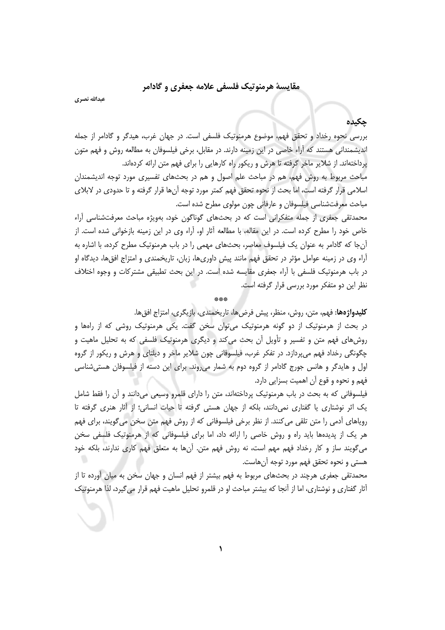### مقايسهٔ هرمنوتيک فلسفي علامه جعفري و گادامر

عبدالله نصري

# جكيده

بررسی نحوه رخداد و تحقق فهم، موضوع هرمنوتیک فلسفی است. در جهان غرب، هیدگر و گادامر از جمله اندیشمندانی هستند که آراء خاصی در این زمینه دارند. در مقابل، برخی فیلسوفان به مطالعه روش و فهم متون یرداختهاند. از شلایر ماخر گرفته تا هرش و ریکور راه کارهایی را برای فهم متن ارائه کردهاند. مباحث مربوط به روش فهم، هم در مباحث علم اصول و هم در بحثهای تفسیری مورد توجه اندیشمندان اسلامی قرار گرفته است، اما بحث از نحوه تحقق فهم کمتر مورد توجه آنها قرار گرفته و تا حدودی در لابلای مباحث معرفتشناسی فیلسوفان و عارفانی چون مولوی مطرح شده است.

محمدتقی جعفری از جمله متفکرانی است که در بحثهای گوناگون خود، بهویژه مباحث معرفتشناسی آراء خاص خود را مطرح کرده است. در این مقاله، با مطالعه آثار او، آراء وی در این زمینه بازخوانی شده است. از آن جا که گادامر به عنوان یک فیلسوف معاصر، بحثهای مهمی را در باب هرمنوتیک مطرح کرده، با اشاره به آراء وی در زمینه عوامل مؤثر در تحقق فهم مانند پیش داوریها، زبان، تاریخمندی و امتزاج افقها، دیدگاه او در باب هرمنوتیک فلسفی با اَراء جعفری مقایسه شده است. در این بحث تطبیقی مشترکات و وجوه اختلاف نظر این دو متفکر مورد بررسی قرار گرفته است.

**كليدواژهها:** فهم، متن، روش، منظر، پيش فرضها، تاريخمندي، بازيگري، امتزاج افقها. در بحث از هرمنوتیک از دو گونه هرمنوتیک می توان سخن گفت. یکی هرمنوتیک روشی که از راهها و روشهای فهم متن و تفسیر و تأویل آن بحث میکند و دیگری هرمنوتیک فلسفی که به تحلیل ماهیت و چگونگی رخداد فهم میپردازد. در تفکر غرب، فیلسوفانی چون شلایر ماخر و دیلتای و هرش و ریکور از گروه اول و هایدگر و هانس جورج گادامر از گروه دوم به شمار می روند. برای این دسته از فیلسوفان هستی شناسی فهم و نحوه و قوع آن اهميت بسزايي دارد.

فیلسوفانی که به بحث در باب هرمنوتیک پرداختهاند، متن را دارای قلمرو وسیعی میدانند و آن را فقط شامل یک اثر نوشتاری یا گفتاری نمی دانند، بلکه از جهان هستی گرفته تا حیات انسانی؛ از آثار هنری گرفته تا رویاهای آدمی را متن تلقی می کنند. از نظر برخی فیلسوفانی که از روش فهم متن سخن می گویند، برای فهم هر یک از پدیدهها باید راه و روش خاصی را ارائه داد، اما برای فیلسوفانی که از هرمنوتیک فلسفی سخن می گویند ساز و کار رخداد فهم مهم است، نه روش فهم متن. آنها به متعلق فهم کاری ندارند، بلکه خود هستی و نحوه تحقق فهم مورد توجه آنهاست.

محمدتقی جعفری هرچند در بحثهای مربوط به فهم بیشتر از فهم انسان و جهان سخن به میان آورده تا از آثار گفتاری و نوشتاری، اما از اّنجا که بیشتر مباحث او در قلمرو تحلیل ماهیت فهم قرار می گیرد، لذا هرمنوتیک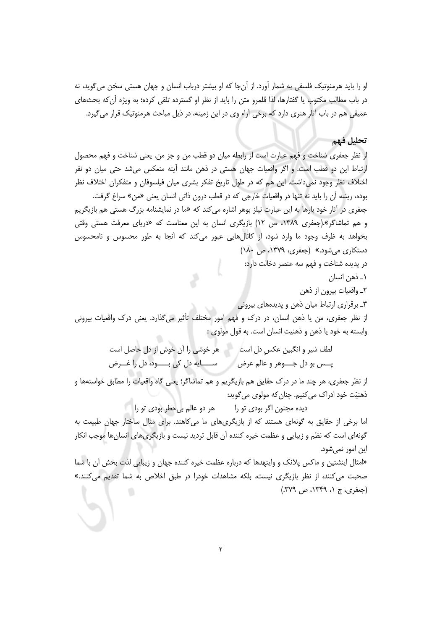او را باید هرمنوتیک فلسفی به شمار آورد. از آنجا که او بیشتر درباب انسان و جهان هستی سخن می گوید، نه در باب مطالب مكتوب يا گفتارها، لذا قلمرو متن را بايد از نظر او گسترده تلقى كرده؛ به ويژه آن كه بحثهاى عمیقی هم در باب آثار هنری دارد که برخی آراء وی در این زمینه، در ذیل مباحث هرمنوتیک قرار می گیرد.

#### تحليل فهم

از نظر جعفري شناخت و فهم عبارت است از رابطه ميان دو قطب من و جز من. يعني شناخت و فهم محصول ارتباط این دو قطب است. و اگر واقعیات جهان هستی در ذهن مانند آینه منعکس می شد حتی میان دو نفر اختلاف نظر وجود نمیداشت. این هم که در طول تاریخ تفکر بشری میان فیلسوفان و متفکران اختلاف نظر بوده، ریشه آن را باید نه تنها در واقعیات خارجی که در قطب درون ذاتی انسان یعنی «من» سراغ گرفت. جعفری در آثار خود بارها به این عبارت نیلز بوهر اشاره میکند که «ما در نمایشنامه بزرگ هستی هم بازیگریم و هم تماشاگر».(جعفری ۱۳۸۹، ص ۱۲) بازیگری انسان به این معناست که «دریای معرفت هستی وقتی بخواهد به ظرف وجود ما وارد شود، از كانالهايي عبور مى كند كه آنجا به طور محسوس و نامحسوس دستکاری می شود.» (جعفری، ۱۳۷۹، ص ۱۸۰)

در پدیده شناخت و فهم سه عنصر دخالت دارد:

۱\_ ذهن انسان

٢ـ واقعيات بيرون از ذهن

۳\_ برقراری ارتباط میان ذهن و پدیدههای بیرونی

از نظر جعفری، من یا ذهن انسان، در درک و فهم امور مختلف تأثیر میگذارد. یعنی درک واقعیات بیرونی وابسته به خود يا ذهن و ذهنيت انسان است. به قول مولوي :

> لطف شیر و انگبین عکس دل است مسلم خوشی را آن خوش از دل حاصل است پــس بو دل جـــوهر و عالم عرض مــــــــــــــــايه دل كي بــــــود، دل را غـــرض

از نظر جعفري، هر چند ما در درک حقايق هم بازيگريم و هم تماشاگر؛ يعني گاه واقعيات را مطابق خواستهها و ذهنيّت خود ادراک مي کنيم. چنان که مولوي مي گويد:

ديده مجنون اگر بودي تو را هر دو عالم بي خطر بودي تو را

اما برخی از حقایق به گونهای هستند که از بازیگریهای ما میکاهند. برای مثال ساختار جهان طبیعت به گونهای است که نظم و زیبایی و عظمت خیره کننده آن قابل تردید نیست و بازیگریهای انسانها موجب انکار این امور نمی شود.

«امثال اینشتین و ماکس پلانک و وایتهدها که درباره عظمت خیره کننده جهان و زیبایی لذت بخش آن با شما صحبت می کنند، از نظر بازیگری نیست، بلکه مشاهدات خودرا در طبق اخلاص به شما تقدیم می کنند.»  $(\sqrt{3} \times 2)$  (جعفری، ج ۱، ۱۳۴۹، ص ۳۷۹)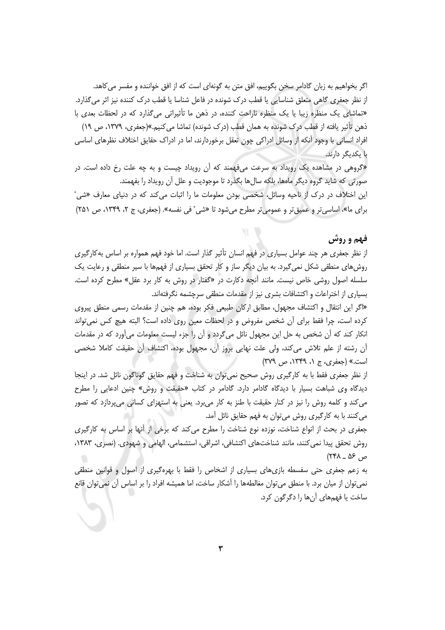اگر بخواهیم به زبان گادامر سخن بگوییم، افق متن به گونهای است که از افق خواننده و مفسر می کاهد. از نظر جعفری گاهی متعلق شناسایی یا قطب درک شونده در فاعل شناسا یا قطب درک کننده نیز اثر می گذارد. «تماشای یک منظره زیبا یا یک منظره ناراحت کننده، در ذهن ما تأثیراتی می گذارد که در لحظات بعدی با ذهن تأثیر یافته از قطب درک شونده به همان قطب (درک شونده) تماشا می کنیم.»(جعفری، ۱۳۷۹، ص ۱۹) افراد انسانی با وجود آنکه از وسائل ادراکی چون تعقل برخوردارند، اما در ادراک حقایق اختلاف نظرهای اساسی با یکدیگر دارند.

«گروهی در مشاهده یک رویداد به سرعت میفهمند که آن رویداد چیست و به چه علت رخ داده است. در صورتی که شاید گروه دیگر ماهها، بلکه سالها بگذرد تا موجودیت و علل آن رویداد را بفهمند.

این اختلاف در درک از ناحیه وسائل، شخصی بودن معلومات ما را اثبات می کند که در دنیای معارف «شی<sup>۰</sup> برای ما»، اساسی تر و عمیق تر و عمومی تر مطرح می شود تا «شی ٔ فی نفسه». (جعفری، ج ۲، ۱۳۴۹، ص ۲۵۱)

### فهم و روش

از نظر جعفری هر چند عوامل بسیاری در فهم انسان تأثیر گذار است. اما خود فهم همواره بر اساس به کارگیری روشهای منطقی شکل نمی گیرد. به بیان دیگر ساز و کار تحقق بسیاری از فهمها با سیر منطقی و رعایت یک سلسله اصول روشی خاص نیست. مانند اّنچه دکارت در «گفتار در روش به کار برد عقل» مطرح کرده است. بسیاری از اختراعات و اکتشافات بشری نیز از مقدمات منطقی سرچشمه نگرفتهاند.

«اگر این انتقال و اکتشاف مجهول، مطابق ارکان طبیعی فکر بوده، هم چنین از مقدمات رسمی منطق پیروی کرده است، چرا فقط برای آن شخص مفروض و در لحظات معین روی داده است؟ البته هیچ کس نمی تواند انکار کند که آن شخص به حل این مجهول نائل می گردد و آن را جزء لیست معلومات میآورد که در مقدمات آن رشته از علم تلاش میکند، ولی علت نهایی بروز آن، مجهول بوده، اکتشاف آن حقیقت کاملا شخصی است.» (جعفری، ج ۱، ۱۳۴۹، ص ۳۷۹)

از نظر جعفری فقط با به کارگیری روش صحیح نمی توان به شناخت و فهم حقایق گوناگون نائل شد. در اینجا دیدگاه وی شباهت بسیار با دیدگاه گادامر دارد. گادامر در کتاب «حقیقت و روش» چنین ادعایی را مطرح می کند و کلمه روش را نیز در کنار حقیقت با طنز به کار میبرد. یعنی به استهزای کسانی میپردازد که تصور می کنند با به کارگیری روش میتوان به فهم حقایق نائل آمد.

جعفری در بحث از انواع شناخت، نوزده نوع شناخت را مطرح می کند که برخی از آنها بر اساس به کارگیری روش تحقق پیدا نمی کنند، مانند شناختهای اکتشافی، اشراقی، استشمامی، الهامی و شهودی. (نصری، ۱۳۸۳،  $(781 - 85)$ 

به زعم جعفری حتی سفسطه بازیهای بسیاری از اشخاص را فقط با بهرهگیری از اصول و قوانین منطقی نمی توان از میان برد. با منطق می توان مغالطهها را آشکار ساخت، اما همیشه افراد را بر اساس آن نمی توان قانع ساخت یا فهمهای آنها را دگرگون کرد.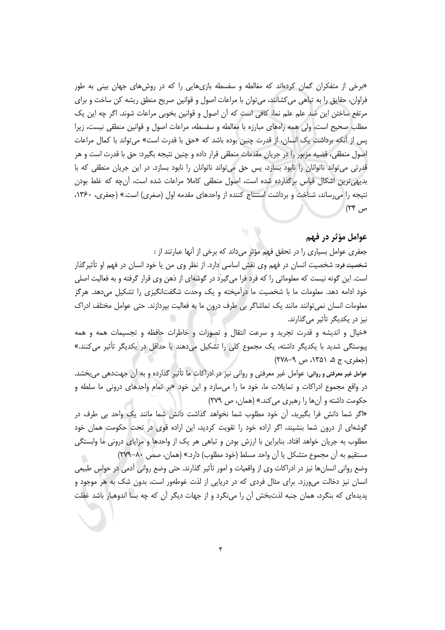«برخی از متفکران گمان کردهاند که مغالطه و سفسطه بازیهایی را که در روشهای جهان بینی به طور فراوان، حقایق را به تباهی می کشانند، می توان با مراعات اصول و قوانین صریح منطق ریشه کن ساخت و برای مرتفع ساختن این ضد علم علم نما، کافی است که آن اصول و قوانین بخوبی مراعات شوند. اگر چه این یک مطلب صحیح است، ولی همه راههای مبارزه با مغالطه و سفسطه، مراعات اصول و قوانین منطقی نیست، زیرا پس از آنکه برداشت یک انسان، از قدرت چنین بوده باشد که «حق با قدرت است» می تواند با کمال مراعات اصول منطقی، قضیه مزبور را در جریان مقدمات منطقی قرار داده و چنین نتیجه بگیرد: حق با قدرت است و هر قدرتی می تواند ناتوانان را نابود بسازد، پس حق می تواند ناتوانان را نابود بسازد. در این جریان منطقی که با بدیهی ترین اشکال قیاس برگذارده شده است، اصول منطقی کاملا مراعات شده است، آنچه که غلط بودن نتیجه را می رساند، شناخت و برداشت استنتاج کننده از واحدهای مقدمه اول (صغری) است.» (جعفری، ۱۳۶۰،  $(T^*$ ص

# عوامل مؤثر در فهم

جعفري عوامل بسياري را در تحقق فهم مؤثر مي داند كه برخي از آنها عبارتند از :

 $91 - 19$ 

شخصیت فرد: شخصیت انسان در فهم وی نقش اساسی دارد. از نظر وی من یا خود انسان در فهم او تأثیرگذار است. این گونه نیست که معلوماتی را که فرد فرا میگیرد در گوشهای از ذهن وی قرار گرفته و به فعالیت اصلی خود ادامه دهد. معلومات ما با شخصیت ما درآمیخته و یک وحدت شگفتانگیزی را تشکیل میدهد. هرگز معلومات انسان نمی توانند مانند یک تماشاگر بی طرف درون ما به فعالیت بپردازند. حتی عوامل مختلف ادراک نیز در یکدیگر تأثیر م*ی گذ*ارند.

«خيال و انديشه و قدرت تجريد و سرعت انتقال و تصورات و خاطرات حافظه و تجسيمات همه و همه پیوستگی شدید با یکدیگر داشته، یک مجموع کلی را تشکیل میدهند یا حداقل در یکدیگر تأثیر میکنند.» (جعفری، ج ۵، ۱۳۵۱، ص ۹-۲۷۸)

عوامل غیر معرفتی و روانی: عوامل غیر معرفتی و روانی نیز در ادراکات ما تأثیر گذارده و به آن جهتدهی میبخشد. در واقع مجموع ادراکات و تمایلات ما، خود ما را میسازد و این خود «بر تمام واحدهای درونی ما سلطه و حکومت داشته و آنها را رهبری می کند.» (همان، ص ٢٧٩)

«اگر شما دانش فرا بگیرید، آن خود مطلوب شما نخواهد گذاشت دانش شما مانند یک واحد بی طرف در گوشهای از درون شما بنشیند، اگر اراده خود را تقویت کردید، این اراده قوی در تحت حکومت همان خود مطلوب به جریان خواهد افتاد. بنابراین با ارزش بودن و تباهی هر یک از واحدها و مزایای درونی ما وابستگی مستقيم به آن مجموع متشكل يا آن واحد مسلط (خود مطلوب) دارد.» (همان، صص ٨٠-٢٧٩)

وضع روانی انسانِها نیز در ادراکات وی از واقعیات و امور تأثیر گذارند. حتی وضع روانی أدمی در حواس طبیعی انسان نیز دخالت می ورزد. برای مثال فردی که در دریایی از لذت غوطهور است، بدون شک به هر موجود و پدیدهای که بنگرد، همان جنبه لذتبخش آن را می $i$ گرد و از جهات دیگر آن که چه بسا اندوهبار باشد غفلت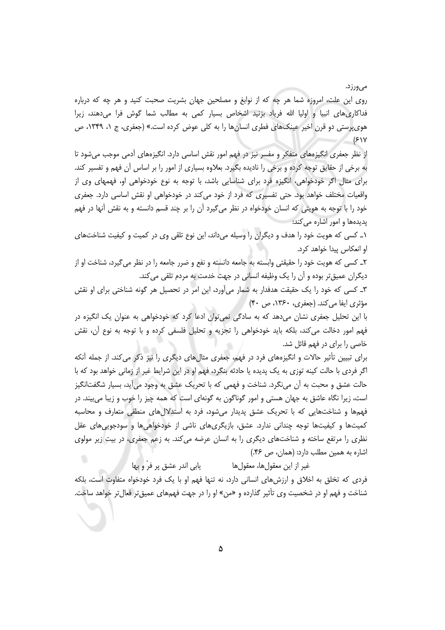مے ہورزد.

روی این علت، امروزه شما هر چه که از نوابغ و مصلحین جهان بشریت صحبت کنید و هر چه که درباره فداکاریهای انبیا و اولیا الله فریاد بزنید اشخاص بسیار کمی به مطالب شما گوش فرا میدهند، زیرا هوي پرستي دو قرن اخير عينکهاي فطري انسانها را به کلي عوض کرده است.» (جعفري، ج ۱، ۱۳۴۹، ص  $(51Y$ 

از نظر جعفری انگیزههای متفکر و مفسر نیز در فهم امور نقش اساسی دارد. انگیزههای آدمی موجب میشود تا به برخی از حقایق توجه کرده و برخی را نادیده بگیرد. بعلاوه بسیاری از امور را بر اساس آن فهم و تفسیر کند. برای مثال اگر خودخواهی، انگیزه فرد برای شناسایی باشد، با توجه به نوع خودخواهی او، فهمهای وی از واقعیات مختلف خواهد بود. حتی تفسیری که فرد از خود می کند در خودخواهی او نقش اساسی دارد. جعفری خود را با توجه به هویتی که انسان خودخواه در نظر میگیرد آن را بر چند قسم دانسته و به نقش آنها در فهم یدیدهها و امور اشاره می کند:

۱\_ کسی که هویت خود را هدف و دیگران را وسیله میداند، این نوع تلقی وی در کمیت و کیفیت شناختهای او انعکاس پیدا خواهد کرد.

٢\_ کسی که هویت خود را حقیقتی وابسته به جامعه دانسته و نفع و ضرر جامعه را در نظر میگیرد، شناخت او از ديگران عميق تر بوده و آن را يک وظيفه انساني در جهت خدمت به مردم تلقي مي کند.

٣\_ کسی که خود را یک حقیقت هدفدار به شمار می آورد، این امر در تحصیل هر گونه شناختی برای او نقش مؤثري ايفا مي كند. (جعفري، ١٣۶٠، ص ۴٠)

با این تحلیل جعفری نشان میدهد که به سادگی نمی توان ادعا کرد که خودخواهی به عنوان یک انگیزه در فهم امور دخالت می کند، بلکه باید خودخواهی را تجزیه و تحلیل فلسفی کرده و با توجه به نوع آن، نقش خاصی را برای در فهم قائل شد.

برای تبیین تأثیر حالات و انگیزههای فرد در فهم، جعفری مثال های دیگری را نیز ذکر می کند. از جمله آنکه اگر فردی با حالت کینه توزی به یک پدیده یا حادثه بنگرد، فهم او در این شرایط غیر از زمانی خواهد بود که با حالت عشق و محبت به أن مىنگرد. شناخت و فهمى كه با تحريک عشق به وجود مىأيد، بسيار شگفتانگيز است، زیرا نگاه عاشق به جهان هستی و امور گوناگون به گونهای است که همه چیز را خوب و زیبا می بیند. در فهمها و شناختهایی که با تحریک عشق پدیدار میشود، فرد به استدلالهای منطقی متعارف و محاسبه کمیتها و کیفیتها توجه چندانی ندارد. عشق، بازیگریهای ناشی از خودخواهیها و سودجویی های عقل نظری را مرتفع ساخته و شناختهای دیگری را به انسان عرضه می کند. به زعم جعفری، در بیت زیر مولوی اشاره به همین مطلب دارد: (همان، ص ۴۶.)

يابي اندر عشق پر فرّ و بها غير از اين معقولها، معقولها فردی که تخلق به اخلاق و ارزش های انسانی دارد، نه تنها فهم او با یک فرد خودخواه متفاوت است، بلکه شناخت و فهم او در شخصیت وی تأثیر گذارده و «من» او را در جهت فهمهای عمیقتر فعالتر خواهد ساخت.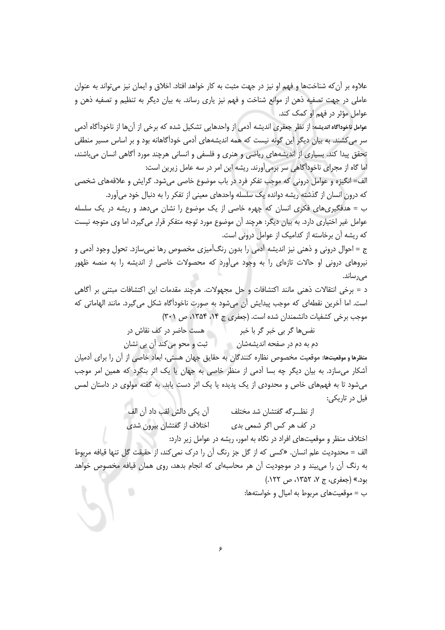علاوه بر آن که شناختها و فهم او نیز در جهت مثبت به کار خواهد افتاد. اخلاق و ایمان نیز می تواند به عنوان عاملي در جهت تصفيه ذهن از موانع شناخت و فهم نيز ياري رساند. به بيان ديگر به تنظيم و تصفيه ذهن و عوامل مؤثر در فهم او کمک کند.

عوامل ناخودآگاه اندیشه: از نظر جعفری اندیشه آدمی از واحدهایی تشکیل شده که برخی از آنها از ناخودآگاه آدمی سر می کشند. به بیان دیگر این گونه نیست که همه اندیشههای آدمی خودآگاهانه بود و بر اساس مسیر منطقی تحقق پیدا کند. بسیاری از اندیشههای ریاضی و هنری و فلسفی و انسانی هرچند مورد آگاهی انسان می باشند، اما گاه از مجرای ناخودآگاهی سر برمی آورند. ریشه این امر در سه عامل زیرین است:

الف= انگیزه و عوامل درونی که موجب تفکر فرد در باب موضوع خاصی میشود. گرایش و علاقههای شخصی که درون انسان از گذشته ریشه دوانده یک سلسله واحدهای معینی از تفکر را به دنبال خود می آورد.

ب = هدفگیری های فکری انسان که چهره خاصی از یک موضوع را نشان می دهد و ریشه در یک سلسله عوامل غیر اختیاری دارد. به بیان دیگر: هرچند آن موضوع مورد توجه متفکر قرار می گیرد، اما وی متوجه نیست که ریشه آن برخاسته از کدامیک از عوامل درونی است.

ج = احوال درونی و ذهنی نیز اندیشه اًدمی را بدون رنگ|َمیزی مخصوص رها نمیسازد. تحول وجود اًدمی و نیروهای درونی او حالات تازهای را به وجود میآورد که محصولات خاصی از اندیشه را به منصه ظهور مے, ساند.

د = برخی انتقالات ذهنی مانند اکتشافات و حل مجهولات. هرچند مقدمات این اکتشافات مبتنی بر آگاهی است. اما آخرین نقطهای که موجب پیدایش آن میشود به صورت ناخودآگاه شکل می گیرد. مانند الهاماتی که موجب برخی کشفیات دانشمندان شده است. (جعفری ج ۱۴، ۱۳۵۴، ص ۳۰۱)

> نفسها گر بی خبر گر با خبر مسلم است حاضر در کف نقاش در ثبت و محو میکند آن بی نشان دم به دم در صفحه اندیشهشان

منظرها و موقعیتها: موقعیت مخصوص نظاره كنندگان به حقایق جهان هستی، ابعاد خاصی از آن را برای آدمیان آشکار میسازد. به بیان دیگر چه بسا آدمی از منظر خاصی به جهان یا یک اثر بنگرد که همین امر موجب میشود تا به فهمهای خاص و محدودی از یک پدیده یا یک اثر دست یابد. به گفته مولوی در داستان لمس فيل در تاريكي:

> آن یکی دالش لقب داد آن الف از نظـــرگه گفتشان شد مختلف در كف هر كس اگر شمعي بدي اختلاف از گفتشان بيرون شدي

اختلاف منظر و موقعیتهای افراد در نگاه به امور، ریشه در عوامل زیر دارد: الف = محدودیت علم انسان. «کسی که از گل جز رنگ آن را درک نمی کند، از حقیقت گل تنها قیافه مربوط به رنگ آن را میبیند و در موجودیت آن هر محاسبهای که انجام بدهد، روی همان قیافه مخصوص خواهد بود.» (جعفري، ج ۷، ۱۳۵۲، ص ۱۲۲.) ب = موقعیتهای مربوط به امیال و خواستهها: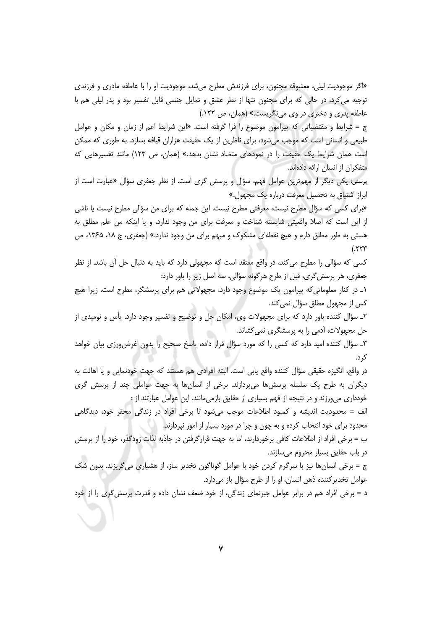«اگر موجودیت لیلی، معشوقه مجنون، برای فرزندش مطرح می شد، موجودیت او را با عاطفه مادری و فرزندی توجیه میکرد، در حالی که برای مجنون تنها از نظر عشق و تمایل جنسی قابل تفسیر بود و پدر لیلی هم با عاطفه پدري و دختري در وي مي نگريست.» (همان، ص ١٢٢.)

ج = شرايط و مقتضياتي كه پيرامون موضوع را فرا گرفته است. «اين شرايط اعم از زمان و مكان و عوامل طبیعی و انسانی است که موجب می شود، برای ناظرین از یک حقیقت هزاران قیافه بسازد. به طوری که ممکن است همان شرایط یک حقیقت را در نمودهای متضاد نشان بدهد.» (همان، ص ۱۲۳) مانند تفسیرهایی که متفكران از انسان ارائه دادهاند.

پرسش: یکی دیگر از مهمترین عوامل فهم، سؤال و پرسش گری است. از نظر جعفری سؤال «عبارت است از ابراز اشتیاق به تحصیل معرفت درباره یک مجهول.»

«برای کسی که سؤال مطرح نیست، معرفتی مطرح نیست. این جمله که برای من سؤالی مطرح نیست یا ناشی از این است که اصلا واقعیتی شایسته شناخت و معرفت برای من وجود ندارد، و یا اینکه من علم مطلق به هستی به طور مطلق دارم و هیچ نقطهای مشکوک و مبهم برای من وجود ندارد.» (جعفری، ج ۱۸، ۱۳۶۵، ص  $(557)$ 

کسی که سؤالی را مطرح می کند، در واقع معتقد است که مجهولی دارد که باید به دنبال حل آن باشد. از نظر جعفري، هر پرسش گري، قبل از طرح هر گونه سؤالي، سه اصل زير را باور دارد:

١\_ در كنار معلوماتي كه پيرامون يک موضوع وجود دارد، مجهولاتي هم براي پرسشگر، مطرح است، زيرا هيچ كس از مجهول مطلق سؤال نمى كند.

٢ـ سؤال كننده باور دارد كه براى مجهولات وى، امكان حل و توضيح و تفسير وجود دارد. يأس و نوميدى از حل مجهولات، آدمی را به پرسشگری نمی کشاند.

٣ـ سؤال كننده اميد دارد كه كسى را كه مورد سؤال قرار داده، پاسخ صحيح را بدون غرض ورزى بيان خواهد ک د.

در واقع، انگیزه حقیقی سؤال کننده واقع پابی است. البته افرادی هم هستند که جهت خودنمایی و یا اهانت به دیگران به طرح یک سلسله پرسشها می پردازند. برخی از انسانها به جهت عواملی چند از پرسش گری خودداری می ورزند و در نتیجه از فهم بسیاری از حقایق بازمی مانند. این عوامل عبارتند از :

الف = محدودیت اندیشه و کمبود اطلاعات موجب میشود تا برخی افراد در زندگی محقر خود، دیدگاهی محدود برای خود انتخاب کرده و به چون و چرا در مورد بسیار از امور نیردازند.

ب = برخی افراد از اطلاعات کافی برخوردارند، اما به جهت قرارگرفتن در جاذبه لذات زودگذر، خود را از پرسش در باب حقایق بسیار محروم می سازند.

ج = برخی انسانِها نیز با سرگرم کردن خود با عوامل گوناگون تخدیر ساز، از هشیاری می *گ*ریزند. بدون شک عوامل تخدير كننده ذهن انسان، او را از طرح سؤال باز میدارد.

د = برخی افراد هم در برابر عوامل جبرنمای زندگی، از خود ضعف نشان داده و قدرت پرسش گری را از خود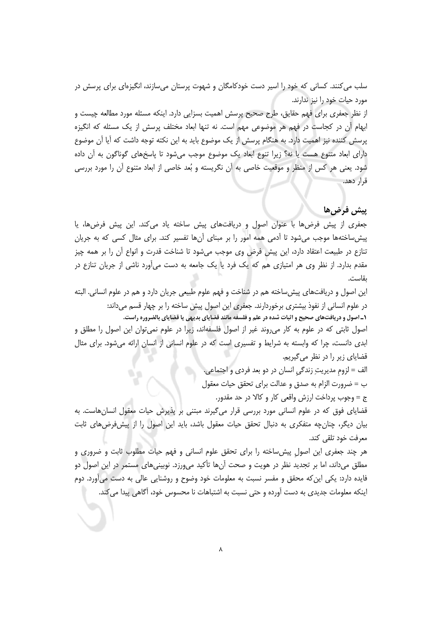سلب می کنند. کسانی که خود را اسیر دست خودکامگان و شهوت پرستان می سازند، انگیزهای برای پرسش در مورد حیات خود را نیز ندارند.

از نظر جعفری برای فهم حقایق، طرح صحیح پرسش اهمیت بسزایی دارد. اینکه مسئله مورد مطالعه چیست و ابهام آن در کجاست در فهم هر موضوعی مهم است. نه تنها ابعاد مختلف پرسش از یک مسئله که انگیزه پرسش کننده نیز اهمیت دارد. به هنگام پرسش از یک موضوع باید به این نکته توجه داشت که آیا آن موضوع دارای ابعاد متنوع هست یا نه؟ زیرا تنوع ابعاد یک موضوع موجب میشود تا پاسخهای گوناگون به اَن داده شود. یعنی هر کس از منظر و موقعیت خاصی به آن نگریسته و بُعد خاصی از ابعاد متنوع آن را مورد بررسی قرار دهد.

# ييش فرضها

جعفری از پیش فرضها با عنوان اصول و دریافتهای پیش ساخته یاد میکند. این پیش فرضها، یا پیش ساختهها موجب میشود تا آدمی همه امور را بر مبنای آنها تفسیر کند. برای مثال کسی که به جریان تنازع در طبیعت اعتقاد دارد، این پیش فرض وی موجب میشود تا شناخت قدرت و انواع آن را بر همه چیز مقدم بدارد. از نظر وی هر امتیازی هم که یک فرد یا یک جامعه به دست میآورد ناشی از جریان تنازع در ىقاست.

این اصول و دریافتهای پیش ساخته هم در شناخت و فهم علوم طبیعی جریان دارد و هم در علوم انسانی. البته در علوم انسانی از نفوذ بیشتری برخوردارند. جعفری این اصول پیش ساخته را بر چهار قسم میداند: ۱ـ اصول و دریافتهای صحیح و اثبات شده در علم و فلسفه مانند قضایای بدیهی یا قضایای بالضروره راست.

اصول ثابتی که در علوم به کار میروند غیر از اصول فلسفهاند، زیرا در علوم نمی¤وان این اصول را مطلق و ابدی دانست، چرا که وابسته به شرایط و تفسیری است که در علوم انسانی از انسان ارائه میشود. برای مثال قضایای زیر را در نظر میگیریم.

> الف = لزوم مديريتِ زندگيِ انسان در دو بعد فرد*ى* و اجتماعي. ب = ضرورت الزام به صدق و عدالت براي تحقق حيات معقول

> > ج = وجوب پرداخت ارزش واقعی کار و کالا در حد مقدور.

قضایای فوق که در علوم انسانی مورد بررسی قرار میگیرند مبتنی بر پذیرش حیات معقول انسان هاست. به بیان دیگر، چنانچه متفکری به دنبال تحقق حیات معقول باشد، باید این اصول را از پیش فرضهای ثابت معرفت خود تلقى كند.

هر چند جعفری این اصول پیش ساخته را برای تحقق علوم انسانی و فهم حیات مطلوب ثابت و ضروری و مطلق میداند، اما بر تجدید نظر در هویت و صحت آنها تأکید میورزد. نوبینیهای مستمر در این اصول دو فایده دارد: یکی این که محقق و مفسر نسبت به معلومات خود وضوح و روشنایی عالی به دست میآورد. دوم اینکه معلومات جدیدی به دست آورده و حتی نسبت به اشتباهات نا محسوس خود، آگاهی پیدا می کند.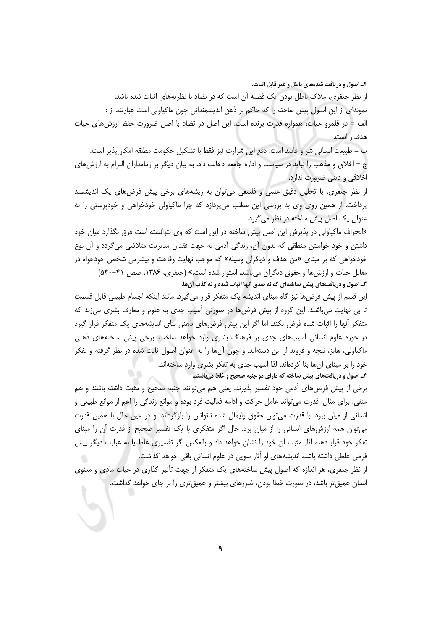۲ـ اصول و دریافت شدههای باطل و غیر قابل اثبات. از نظر جعفری، ملاک باطل بودن یک قضیه آن است که در تضاد با نظریههای اثبات شده باشد. نمونهای از این اصول پیش ساخته را که حاکم بر ذهن اندیشمندانی چون ماکیاولی است عبارتند از : الف = در قلمرو حیات، همواره قدرت برنده است. این اصل در تضاد با اصل ضرورت حفظ ارزش های حیات هدفدار است.

ب = طبیعت انسانی شر و فاسد است. دفع این شرارت نیز فقط با تشکیل حکومت مطلقه امکان پذیر است. ج = اخلاق و مذهب را نباید در سیاست و اداره جامعه دخالت داد. به بیان دیگر بر زمامداران التزام به ارزشهای اخلاقي و دينې ضرورت ندارد.

از نظر جعفری، با تحلیل دقیق علمی و فلسفی میتوان به ریشههای برخی پیش فرضهای یک اندیشمند پرداخت. از همین روی وی به بررسی این مطلب میپردازد که چرا ماکیاولی خودخواهی و خودپرستی را به عنوان یک اصل پیش ساخته در نظر می گیرد.

«انحراف ماکیاولی در پذیرش این اصل پیش ساخته در این است که وی نتوانسته است فرق بگذارد میان خود داشتن و خود خواستن منطقی که بدون آن، زندگی آدمی به جهت فقدان مدیریت متلاشی میگردد و آن نوع خودخواهي كه بر مبناي «من هدف و ديگران وسيله» كه موجب نهايت وقاحت و بيشرمي شخص خودخواه در مقابل حیات و ارزش ها و حقوق دیگران می باشد، استوار شده است.» (جعفری، ۱۳۸۶، صص ۴۱-۵۴۰) ۳ـ اصول و دریافتهای پیش ساختهای که نه صدق آنها اثبات شده و نه کذب آنها.

این قسم از پیش فرض۵ا نیز گاه مبنای اندیشه یک متفکر قرار میگیرد. مانند اینکه اجسام طبیعی قابل قسمت تا بی نهایت میباشند. این گروه از پیش فرضها در صورتی آسیب جدی به علوم و معارف بشری میزند که متفکر آنها را اثبات شده فرض نکند. اما اگر این پیش فرضهای ذهنی بنای اندیشههای یک متفکر قرار گیرد در حوزه علوم انسانی اّسیبهای جدی بر فرهنگ بشری وارد خواهد ساخت. برخی پیش ساختههای ذهنی ماکیاولی، هابز، نیچه و فروید از این دستهاند. و چون آنها را به عنوان اصول ثابت شده در نظر گرفته و تفکر خود را بر مبنای آنها بنا کردهاند، لذا آسیب جدی به تفکر بشری وارد ساختهاند. ۴ـ اصول و دریافتهای پیش ساخته که دارای دو جنبه صحیح و غلط میباشند.

برخی از پیش فرضهای آدمی خود تفسیر پذیرند. یعنی هم می¤وانند جنبه صحیح و مثبت داشته باشند و هم منفی. برای مثال: قدرت میتواند عامل حرکت و ادامه فعالیت فرد بوده و موانع زندگی را اعم از موانع طبیعی و انسانی از میان ببرد. با قدرت می توان حقوق پایمال شده ناتوانان را بازگرداند. و در عین حال با همین قدرت میتوان همه ارزشهای انسانی را از میان برد. حال اگر متفکری با یک تفسیر صحیح از قدرت آن را مبنای تفکر خود قرار دهد، آثار مثبت آن خود را نشان خواهد داد و بالعکس اگر تفسیری غلط یا به عبارت دیگر پیش فرض غلطی داشته باشد، اندیشههای او آثار سویی در علوم انسانی باقی خواهد گذاشت.

از نظر جعفری، هر اندازه که اصول پیش ساختههای یک متفکر از جهت تأثیر گذاری در حیات مادی و معنوی انسان عمیق تر باشد، در صورت خطا بودن، ضررهای بیشتر و عمیق تری را بر جای خواهد گذاشت.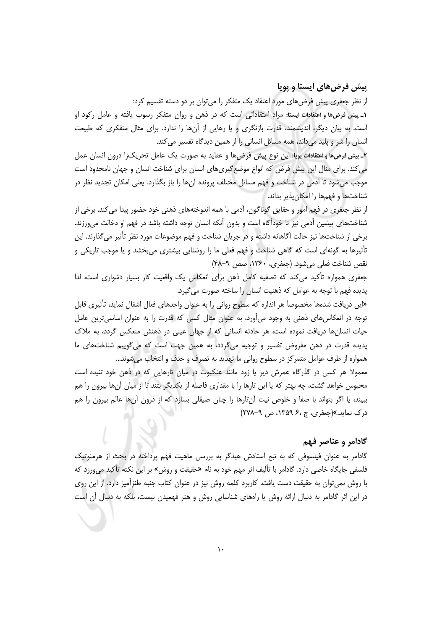### پیش فرضهای ایستا و پویا

از نظر جعفری پیش فرضهای مورد اعتقاد یک متفکر را میتوان بر دو دسته تقسیم کرد: ۱ـ پیش فرضها و اعتقادات ایستا: مراد اعتقاداتی است که در ذهن و روان متفکر رسوب یافته و عامل رکود او است. به بیان دیگر، اندیشمند، قدرت بازنگری و یا رهایی از آنها را ندارد. برای مثال متفکری که طبیعت انسان را شر و پلید میداند، همه مسائل انسانی را از همین دیدگاه تفسیر می کند.

٢ـ پیش فرضها واعتقادات پویا: این نوع پیش فرضها و عقاید به صورت یک عامل تحریک;ا درون انسان عمل می کند. برای مثال این پیش فرض که انواع موضع گیری های انسان برای شناخت انسان و جهان نامحدود است موجب میشود تا آدمی در شناخت و فهم مسائل مختلف پرونده آنها را باز بگذارد. یعنی امکان تجدید نظر در شناختها و فهمها را امکان پذیر بداند.

از نظر جعفري در فهم امور و حقايق گوناگون، آدمي با همه اندوختههاي ذهني خود حضور پيدا مي كند. برخي از شناختهای پیشین أدمی نیز نا خودأگاه است و بدون أنکه انسان توجه داشته باشد در فهم او دخالت میورزند. برخی از شناختها نیز حالت آگاهانه داشته و در جریان شناخت و فهم موضوعات مورد نظر تأثیر میگذارند. این تأثیرها به گونهای است که گاهی شناخت و فهم فعلی ما را روشنایی بیشتری میبخشد و یا موجب تاریکی و نقص شناخت فعلی می شود. (جعفری، ۱۳۶۰، صص ۹-۴۸)

جعفری همواره تأکید می کند که تصفیه کامل ذهن برای انعکاس یک واقعیت کار بسیار دشواری است، لذا پدیده فهم با توجه به عوامل که ذهنیت انسان را ساخته صورت می گیرد.

«این دریافت شدهها مخصوصاً هر اندازه که سطوح روانی را به عنوان واحدهای فعال اشغال نماید، تأثیری قابل توجه در انعکاس های ذهنی به وجود می آورد، به عنوان مثال کسی که قدرت را به عنوان اساسی ترین عامل حیات انسانها دریافت نموده است، هر حادثه انسانی که از جهان عینی در ذهنش منعکس گردد، به ملاک پدیده قدرت در ذهن مفروض تفسیر و توجیه میگردد، به همین جهت است که میگوییم شناختهای ما همواره از طرف عوامل متمركز در سطوح رواني ما تهديد به تصرف و حدف و انتخاب مي شوند...

معمولا هر کسی در گذرگاه عمرش دیر یا زود مانند عنکبوت در میان تارهایی که در ذهن خود تنیده است محبوس خواهد گشت، چه بهتر که یا این تارها را با مقداری فاصله از یکدیگر بتند تا از میان آنها بیرون را هم ببیند، یا اگر بتواند با صفا و خلوص نیت آنتارها را چنان صیقلی بسازد که از درون آنها عالم بیرون را هم  $(7Y^4 - 9)$ درک نماید.»(جعفری، ج ،۶ ۱۳۵۹، ص ۹–۲۷۸)

#### گادامر و عناصر فهم

گادامر به عنوان فیلسوفی که به تبع استادش هیدگر به بررسی ماهیت فهم پرداخته در بحث از هرمنوتیک فلسفی جایگاه خاصی دارد. گادامر با تألیف اثر مهم خود به نام «حقیقت و روش» بر این نکته تأکید می,ورزد که با روش نمی توان به حقیقت دست یافت. کاربرد کلمه روش نیز در عنوان کتاب جنبه طنزآمیز دارد. از این روی در این اثر گادامر به دنبال ارائه روش یا راههای شناسایی روش و هنر فهمیدن نیست، بلکه به دنبال آن است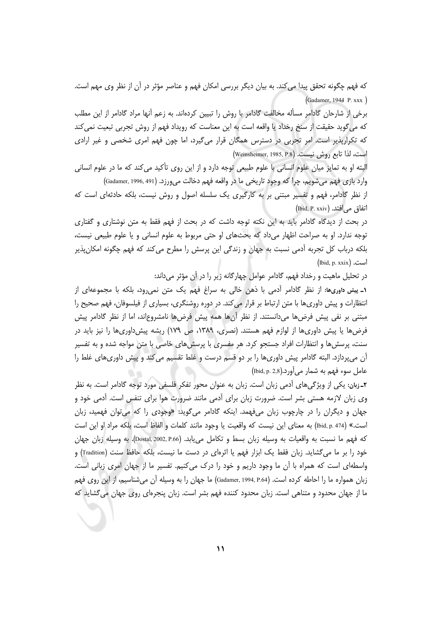که فهم چگونه تحقق پیدا می کند. به بیان دیگر بررسی امکان فهم و عناصر مؤثر در آن از نظر وی مهم است. (Gadamer, 1944 P. xxx)

برخی از شارحان گادامر مسأله مخالفت گادامر با روش را تبیین کردهاند. به زعم آنها مراد گادامر از این مطلب که می گوید حقیقت از سنخ رخداد یا واقعه است به این معناست که رویداد فهم از روش تجربی تبعیت نمی کند که تکرارپذیر است. امر تجربی در دسترس همگان قرار میگیرد، اما چون فهم امری شخصی و غیر ارادی است، لذا تابع روش نيست. (Weinsheimer, 1985, P.8)

البته او به تمایز میان علوم انسانی با علوم طبیعی توجه دارد و از این روی تأکید می کند که ما در علوم انسانی وارد بازي فهم مي شويم، چرا كه وجود تاريخي ما در واقعه فهم دخالت مي ورزد. (Gadamer, 1996, 491) از نظر گادامر، فهم و تفسیر مبتنی بر به کارگیری یک سلسله اصول و روش نیست، بلکه حادثهای است که

(Ibid, P. xxiv) أتفاق مي افتد.

در بحث از دیدگاه گادامر باید به این نکته توجه داشت که در بحث از فهم فقط به متن نوشتاری و گفتاری توجه ندارد. او به صراحت اظهار میداد که بحثهای او حتی مربوط به علوم انسانی و یا علوم طبیعی نیست، بلکه درباب کل تجربه آدمی نسبت به جهان و زندگی این پرسش را مطرح می کند که فهم چگونه امکان پذیر (Ibid, p. xxix) است.

در تحلیل ماهیت و رخداد فهم، گادامر عوامل چهارگانه زیر را در آن مؤثر می داند:

١ـ پیش داوریها: از نظر گادامر آدمی با ذهن خالی به سراغ فهم یک متن نمی رود، بلکه با مجموعهای از انتظارات و پیش داوری ها با متن ارتباط بر قرار می کند. در دوره روشنگری، بسیاری از فیلسوفان، فهم صحیح را مبتنی بر نفی پیش فرضها میدانستند. از نظر أنها همه پیش فرضها نامشروعاند، اما از نظر گادامر پیش فرضها یا پیش داوریها از لوازم فهم هستند. (نصری، ۱۳۸۹، ص ۱۷۹) ریشه پیشداوریها را نیز باید در سنت، پرسش ها و انتظارات افراد جستجو کرد. هر مفسری با پرسش های خاصی با متن مواجه شده و به تفسیر آن میپردازد. البته گادامر پیش داوریها را بر دو قسم درست و غلط تقسیم می کند و پیش داوریهای غلط را عامل سوء فهم به شمار مي آورد.(Ibid, p. 2,8)

۲ـ زبان: یکی از ویژگیهای آدمی زبان است. زبان به عنوان محور تفکر فلسفی مورد توجه گادامر است. به نظر وی زبان لازمه هستی بشر است. ضرورت زبان برای آدمی مانند ضرورت هوا برای تنفس است. آدمی خود و جهان و دیگران را در چارچوب زبان میفهمد. اینکه گادامر میگوید: «وجودی را که میتوان فهمید، زبان است.» (Ibid, p. 474) به معناي اين نيست كه واقعيت يا وجود مانند كلمات و الفاظ است، بلكه مراد او اين است كه فهم ما نسبت به واقعيات به وسيله زبان بسط و تكامل مي يابد. (Dostal, 2002, P.66). به وسيله زبان جهان خود را بر ما می گشاید. زبان فقط یک ابزار فهم یا اثرهای در دست ما نیست، بلکه حافظ سنت (Tradition) و واسطهای است که همراه با آن ما وجود داریم و خود را درک میکنیم. تفسیر ما از جهان امری زبانی است. زبان همواره ما را احاطه کرده است. (Gadamer, 1994, P.64) ما جهان را به وسیله آن می شناسیم، از این روی فهم ما از جهان محدود و متناهی است. زبان محدود کننده فهم بشر است. زبان پنجرهای روی جهان می5شاید که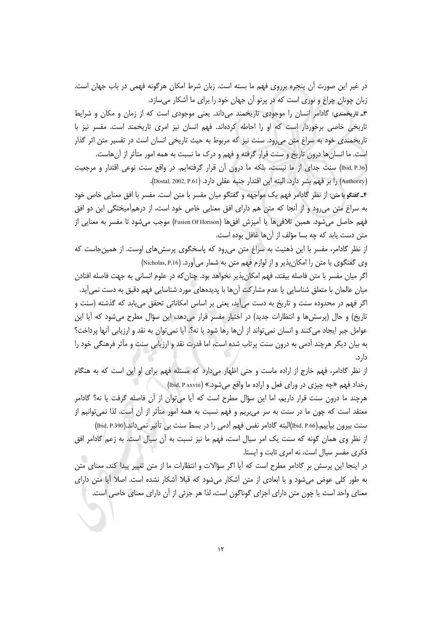در غیر این صورت آن پنجره برروی فهم ما بسته است. زبان شرط امکان هرگونه فهمی در باب جهان است. زبان چونان چراغ و نوری است که در پرتو آن جهان خود را برای ما آشکار میسازد.

۳ـ تاریخمندی: گادامر انسان را موجودی تاریخمند میداند. یعنی موجودی است که از زمان و مکان و شرایط تاریخی خاصی برخوردار است که او را احاطه کردهاند. فهم انسان نیز امری تاریخمند است. مفسر نیز با تاریخمندی خود به سراغ متن می رود. سنت نیز که مربوط به حیث تاریخی انسان است در تفسیر متن اثر گذار است. ما انسان ها درون تاریخ و سنت قرار گرفته و فهم و درک ما نسبت به همه امور متأثر از آنهاست.

(Ibid, P.36) سنت جدای از ما نیست، بلکه ما درون آن قرار گرفتهایم. در واقع سنت نوعی اقتدار و مرجعیت (Authority) را بر فهم بشر دارد. البته این اقتدار جنبه عقلی دارد. (Dostal, 2002, P.61).

۴ـ گفتگو با متن: از نظر گادامر فهم یک مواجهه و گفتگو میان مفسر با متن است. مفسر با افق معنایی خاص خود به سراغ متن می رود و از آنجا که متن هم دارای افق معنایی خاص خود است، از درهمآمیختگی این دو افق فهم حاصل مي شود. همين تلاقي ها يا آميزش افق ها (Fusion Of Horison) موجب مي شود تا مفسر به معنايي از متن دست يابد كه چه بسا مؤلف از آنها غافل بوده است.

از نظر گادامر، مفسر با این ذهنیت به سراغ متن می رود که پاسخگوی پرسش های اوست. از همین جاست که وي گفتگوي با متن را امكان پذير و از لوازم فهم متن به شمار مي آورد. (Nicholas, P.16)

اگر میان مفسر با متن فاصله بیفتد، فهم امکان پذیر نخواهد بود. چنان که در علوم انسانی به جهت فاصله افتادن میان عالمان با متعلق شناسایی یا عدم مشارکت آنها با پدیدههای مورد شناسایی فهم دقیق به دست نمیآید. اگر فهم در محدوده سنت و تاریخ به دست می∫ید، یعنی بر اساس امکاناتی تحقق می،یابد که گذشته (سنت و تاریخ) و حال (پرسش ها و انتظارات جدید) در اختیار مفسر قرار میدهد، این سؤال مطرح می شود که آیا این عوامل جبر ايجاد مي كنند و انسان نمي تواند از آنها رها شود يا نه؟. آيا نمي توان به نقد و ارزيابي آنها پرداخت؟ به بیان دیگر هرچند آدمی به درون سنت پرتاب شده است، اما قدرت نقد و ارزیابی سنت و مآثر فرهنگی خود را دا، د.

از نظر گادامر، فهم خارج از اراده ماست و حتی اظهار میدارد که مسئله فهم برای او این است که به هنگام رخداد فهم «چه چیزی در ورای فعل و اراده ما واقع میشود.» (Ibid, P.xxviii)

هرچند ما درون سنت قرار داریم، اما این سؤال مطرح است که آیا می توان از آن فاصله گرفت یا نه؟ گادامر معتقد است که چون ما در سنت به سر میبریم و فهم نسبت به همه امور متأثر از آن است، لذا نمیٍتوانیم از سنت بیرون بیآییم.(Ibid, P.66)البته گادامر نفس فهم آدمی را در بسط سنت بی تأثیر نمیداند.(Ibid, P.390)

از نظر وی همان گونه که سنت یک امر سیال است، فهم ما نیز نسبت به آن سیال است. به زعم گادامر افق فکری مفسر سیال است، نه امری ثابت و ایستا.

در اینجا این پرسش بر گادامر مطرح است که آیا اگر سؤالات و انتظارات ما از متن تغییر پیدا کند، معنای متن به طور کلی عوض می شود و یا ابعادی از متن آشکار می شود که قبلا آشکار نشده است. اصلا آیا متن دارای معناى واحد است يا چون متن داراى اجزاى گوناگون است، لذا هر جزئى از آن داراى معناى خاصى است.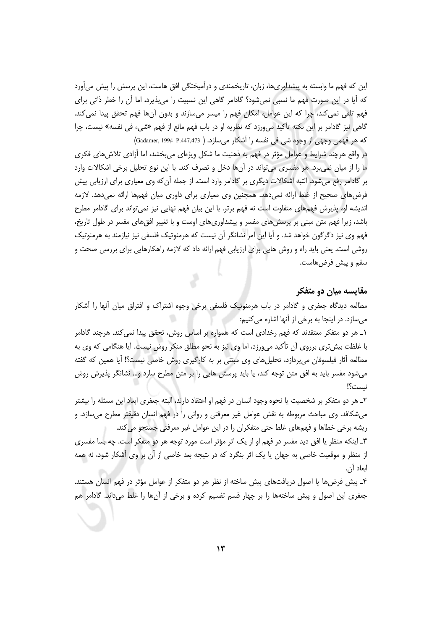این که فهم ما وابسته به پیشداوریها، زبان، تاریخمندی و درآمیختگی افق هاست، این پرسش را پیش می آورد که آیا در این صورت فهم ما نسبی نمی شود؟ گادامر گاهی این نسبیت را می پذیرد، اما آن را خطر ذاتی برای فهم تلقی نمی کند، چرا که این عوامل، امکان فهم را میسر میسازند و بدون آنها فهم تحقق پیدا نمی کند. گاهي نيز گادامر بر اين نكته تأكيد ميeرزد كه نظريه او در باب فهم مانع از فهم «شيء في نفسه» نيست، چرا كه هر فهمي وجهي از وجوه شي في نفسه را آشكار ميسازد. ( P.447,473 P.447,473)

در واقع هرچند شرایط و عوامل مؤثر در فهم به ذهنیت ما شکل ویژهای میبخشد، اما آزادی تلاش های فکری ما را از میان نمیبرد. هر مفسری میتواند در آنها دخل و تصرف کند. با این نوع تحلیل برخی اشکالات وارد بر گادامر رفع میشود. التبه اشکالات دیگری بر گادامر وارد است. از جمله آن که وی معیاری برای ارزیابی پیش فرضهای صحیح از غلط ارائه نمی دهد. همچنین وی معیاری برای داوری میان فهمها ارائه نمی دهد. لازمه اندیشه او، پذیرش فهمهای متفاوت است نه فهم برتر. با این بیان فهم نهایی نیز نمیتواند برای گادامر مطرح باشد، زیرا فهم متن مبنی بر پرسش های مفسر و پیشداوری های اوست و با تغییر افق های مفسر در طول تاریخ، فهم وی نیز دگرگون خواهد شد. و آیا این امر نشانگر آن نیست که هرمنوتیک فلسفی نیز نیازمند به هرمنوتیک روشی است. یعنی باید راه و روش هایی برای ارزیابی فهم ارائه داد که لازمه راهکارهایی برای بررسی صحت و سقم و پیش فرض هاست.

#### مقایسه میان دو متفکر

مطالعه دیدگاه جعفری و گادامر در باب هرمنوتیک فلسفی برخی وجوه اشتراک و افتراق میان أنها را أشکار میسازد. در اینجا به برخی از آنها اشاره می کنیم:

١\_ هر دو متفكر معتقدند كه فهم رخدادي است كه همواره بر اساس روش، تحقق پيدا نمى كند. هرچند گادامر با غلظت بیش تری برروی اّن تأکید میeرزد، اما وی نیز به نحو مطلق منکر روش نیست. آیا هنگامی که وی به مطالعه آثار فیلسوفان میپردازد، تحلیلهای وی مبتنی بر به کارگیری روش خاصی نیست؟! آیا همین که گفته میشود مفسر باید به افق متن توجه کند، یا باید پرسش هایی را بر متن مطرح سازد و… نشانگر پذیرش روش نيست؟!

٢\_ هر دو متفكر بر شخصيت يا نحوه وجود انسان در فهم او اعتقاد دارند، البته جعفري ابعاد اين مسئله را بيشتر می شکافد. وی مباحث مربوطه به نقش عوامل غیر معرفتی و روانی را در فهم انسان دقیقتر مطرح می سازد. و ریشه برخی خطاها و فهمهای غلط حتی متفکران را در این عوامل غیر معرفتی جستجو می کند.

٣\_ اینکه منظر یا افق دید مفسر در فهم او از یک اثر مؤثر است مورد توجه هر دو متفکر است. چه بسا مفسری از منظر و موقعیت خاصی به جهان یا یک اثر بنگرد که در نتیجه بعد خاصی از آن بر وی آشکار شود، نه همه ابعاد أن.

۴\_ پیش فرضها یا اصول دریافتهای پیش ساخته از نظر هر دو متفکر از عوامل مؤثر در فهم انسان هستند. جعفری این اصول و پیش ساختهها را بر چهار قسم تفسیم کرده و برخی از آنها را غلط میداند. گادامر هم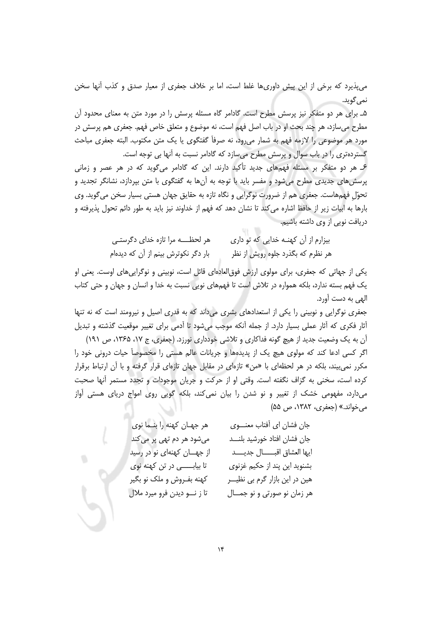می پذیرد که برخی از این پیش داوری ها غلط است، اما بر خلاف جعفری از معیار صدق و کذب آنها سخن نمي گويد.

۵\_ برای هر دو متفکر نیز پرسش مطرح است. گادامر گاه مسئله پرسش را در مورد متن به معنای محدود آن مطرح مي سازد، هر چند بحث او در باب اصل فهم است، نه موضوع و متعلق خاص فهم. جعفري هم پرسش در مورد هر موضوعی را لازمه فهم به شمار می رود، نه صرفاً گفتگوی یا یک متن مکتوب. البته جعفری مباحث گستردهتری را در باب سوال و پرسش مطرح میسازد که گادامر نسبت به آنها بی توجه است.

۶\_ هر دو متفکر بر مسئله فهمهای جدید تأکید دارند. این که گادامر میگوید که در هر عصر و زمانی پرسشهای جدیدی مطرح میشود و مفسر باید با توجه به آنها به گفتگوی با متن بپردازد، نشانگر تجدید و تحوّل فهمهاست. جعفري هم از ضرورت نوگرايي و نگاه تازه به حقايق جهان هستي بسيار سخن مي گويد. وي بارها به ابیات زیر از حافظ اشاره می کند تا نشان دهد که فهم از خداوند نیز باید به طور دائم تحول پذیرفته و دریافت نویی از وی داشته باشیم.

> هر لحظــــه مرا تازه خدای دگرستــی بیزارم از آن کهنــه خدایی که تو داری بار دگر نکوترش بینم از آن که دیدهام هر نظرم که بگذرد جلوه رویش از نظر

یکی از جهاتی که جعفری، برای مولوی ارزش فوق|لعادهای قائل است، نوبینی و نوگراییهای اوست. یعنی او یک فهم بسته ندارد، بلکه همواره در تلاش است تا فهمهای نویی نسبت به خدا و انسان و جهان و حتی کتاب الهي به دست آورد.

جعفری نوگرایی و نوبینی را یکی از استعدادهای بشری میداند که به قدری اصیل و نیرومند است که نه تنها آثار فکری که آثار عملی بسیار دارد. از جمله آنکه موجب میشود تا آدمی برای تغییر موقعیت گذشته و تبدیل آن به یک وضعیت جدید از هیچ گونه فداکاری و تلاشی خودداری نورزد. (جعفری، ج ۱۷، ۱۳۶۵، ص ۱۹۱)

اگر کسی ادعا کند که مولوی هیچ یک از پدیدهها و جریانات عالم هستی را مخصوصاً حیات درونی خود را مکرر نمی بیند، بلکه در هر لحظهای با «من» تازهای در مقابل جهان تازهای قرار گرفته و با آن ارتباط برقرار کرده است، سخنی به گزاف نگفته است. وقتی او از حرکت و جریان موجودات و تجدد مستمر آنها صحبت میدارد، مفهومی خشک از تغییر و نو شدن را بیان نمی کند، بلکه گویی روی امواج دریای هستی اَواز می خواند.» (جعفری، ۱۳۸۲، ص ۵۵)

| هر جهـان كهنه را بنـما نوى    | جان فشان اي أفتاب معنـــوي      |
|-------------------------------|---------------------------------|
| میشود هر دم تهی پر میکند      | جان فشان افتاد خورشيد بلنـــد   |
| از جهـان كهنهاى نو در رسيد    | ايها العشاق اقبـــال جديـــد    |
| تا بیابــــــی در تن کهنه نوی | بشنوید این پند از حکیم غزنوی    |
| کهنه بفـروش و ملک نو بگیر     | هین در این بازار گرم بی نظیـــر |
| تا ز نـــو ديدن فرو ميرد ملال | هر زمان نو صورتی و نو جمــال    |
|                               |                                 |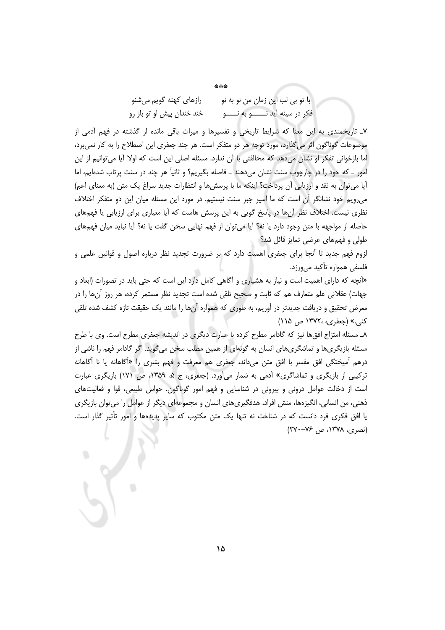\*\*\* با تو بي لب اين زمان من نو به نو رازهای کهنه گویم میشنو فکر در سينه آيد نـــــــــو به نـــــــو خند خندان پیش او تو باز رو

٧\_ تاریخمندی به این معنا که شرایط تاریخی و تفسیرها و میراث باقی مانده از گذشته در فهم آدمی از موضوعات گوناگون اثر میگذارد، مورد توجه هر دو متفکر است. هر چند جعفری این اصطلاح را به کار نمیبرد، اما بازخوانی تفکر او نشان میدهد که مخالفتی با اَن ندارد. مسئله اصلی این است که اولا اَیا میتوانیم از این امور \_ كه خود را در چارچوب سنت نشان مى دهند \_ فاصله بگيريم؟ و ثانياً هر چند در سنت پرتاب شدهايم، اما آيا مي توان به نقد و ارزيابي آن پرداخت؟ اينكه ما با پرسش ها و انتظارات جديد سراغ يک متن (به معناي اعم) می رویم خود نشانگر آن است که ما اسیر جبر سنت نیستیم. در مورد این مسئله میان این دو متفکر اختلاف نظری نیست. اختلاف نظر آنها در پاسخ گویی به این پرسش هاست که آیا معیاری برای ارزیابی یا فهمهای حاصله از مواجهه با متن وجود دارد یا نه؟ آیا می توان از فهم نهایی سخن گفت یا نه؟ آیا نباید میان فهمهای طولی و فهمهای عرضی تمایز قائل شد؟

لزوم فهم جدید تا آنجا برای جعفری اهمیت دارد که بر ضرورت تجدید نظر درباره اصول و قوانین علمی و فلسفی همواره تأکید مے ورزد.

«آنچه که دارای اهمیت است و نیاز به هشیاری و آگاهی کامل دارد این است که حتی باید در تصورات (ابعاد و جهات) عقلانی علم متعارف هم که ثابت و صحیح تلقی شده است تجدید نظر مستمر کرده، هر روز آنها را در معرض تحقیق و دریافت جدیدتر در آوریم، به طوری که همواره آنها را مانند یک حقیقت تازه کشف شده تلقی کنی.» (جعفری، ۱۳۷۲۰ ص ۱۱۵)

٨ـ مسئله امتزاج افق ها نیز که گادامر مطرح کرده با عبارت دیگری در اندیشه جعفری مطرح است. وی با طرح مسئله بازیگریها و تماشگریهای انسان به گونهای از همین مطلب سخن میگوید. اگر گادامر فهم را ناشی از درهم آمیختگی افق مفسر با افق متن میداند، جعفری هم معرفت و فهم بشری را «آگاهانه یا نا آگاهانه ترکیبی از بازیگری و تماشاگری» آدمی به شمار می آورد. (جعفری، ج ۵، ۱۳۵۹، ص ۱۷۱) بازیگری عبارت است از دخالت عوامل درونی و بیرونی در شناسایی و فهم امور گوناگون. حواس طبیعی، قوا و فعالیتهای ذهنی، من انسانی، انگیزهها، منش افراد، هدفگیریهای انسان و مجموعهای دیگر از عوامل را میتوان بازیگری یا افق فکری فرد دانست که در شناخت نه تنها یک متن مکتوب که سایر پدیدهها و امور تأثیر گذار است.  $(YY - Y^2, \alpha)$  (نصری، ۱۳۷۸، ص)